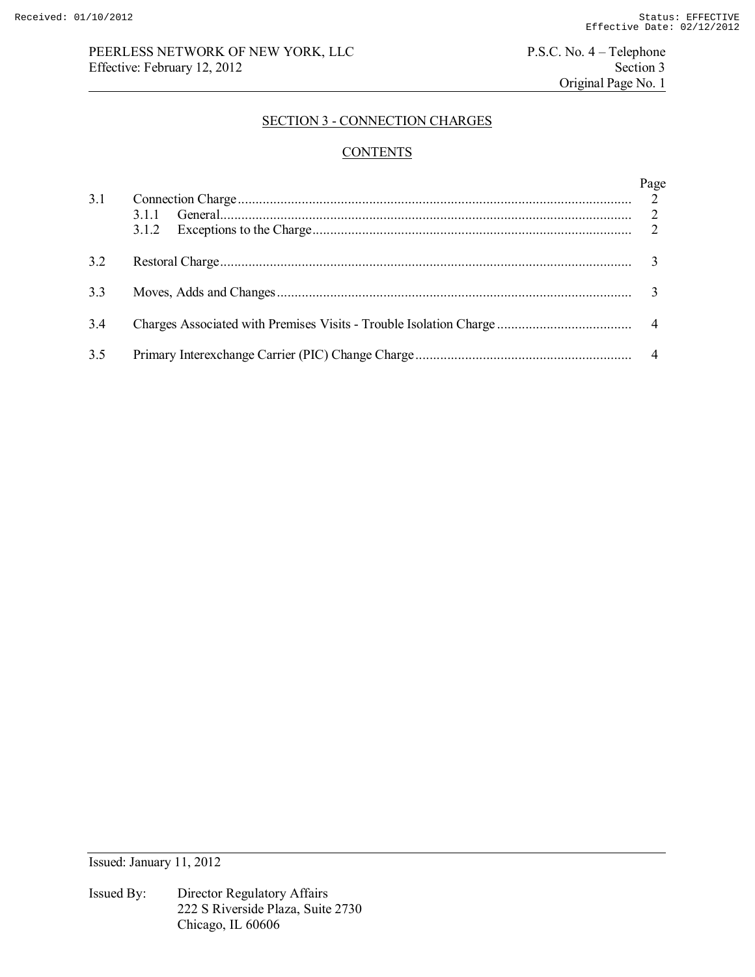# PEERLESS NETWORK OF NEW YORK, LLC<br>
P.S.C. No. 4 – Telephone<br>
Section 3<br>
Section 3 Effective: February 12, 2012

Original Page No. 1

# SECTION 3 - CONNECTION CHARGES

# **CONTENTS**

| 3.1 | Page |
|-----|------|
| 3.2 |      |
| 3.3 |      |
| 3.4 |      |
| 3.5 |      |

Issued: January 11, 2012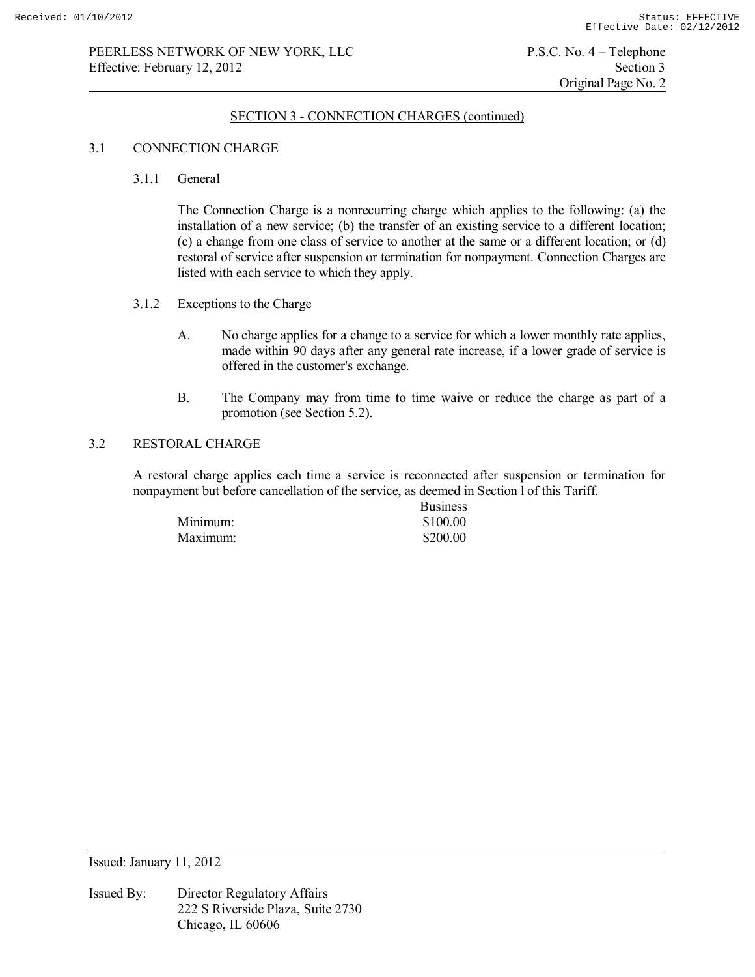# SECTION 3 - CONNECTION CHARGES (continued)

### 3.1 CONNECTION CHARGE

#### 3.1.1 General

 The Connection Charge is a nonrecurring charge which applies to the following: (a) the installation of a new service; (b) the transfer of an existing service to a different location; (c) a change from one class of service to another at the same or a different location; or (d) restoral of service after suspension or termination for nonpayment. Connection Charges are listed with each service to which they apply.

- 3.1.2 Exceptions to the Charge
	- A. No charge applies for a change to a service for which a lower monthly rate applies, made within 90 days after any general rate increase, if a lower grade of service is offered in the customer's exchange.
	- B. The Company may from time to time waive or reduce the charge as part of a promotion (see Section 5.2).

## 3.2 RESTORAL CHARGE

 A restoral charge applies each time a service is reconnected after suspension or termination for nonpayment but before cancellation of the service, as deemed in Section l of this Tariff.

|          | <b>Business</b> |
|----------|-----------------|
| Minimum: | \$100.00        |
| Maximum: | \$200.00        |

Issued: January 11, 2012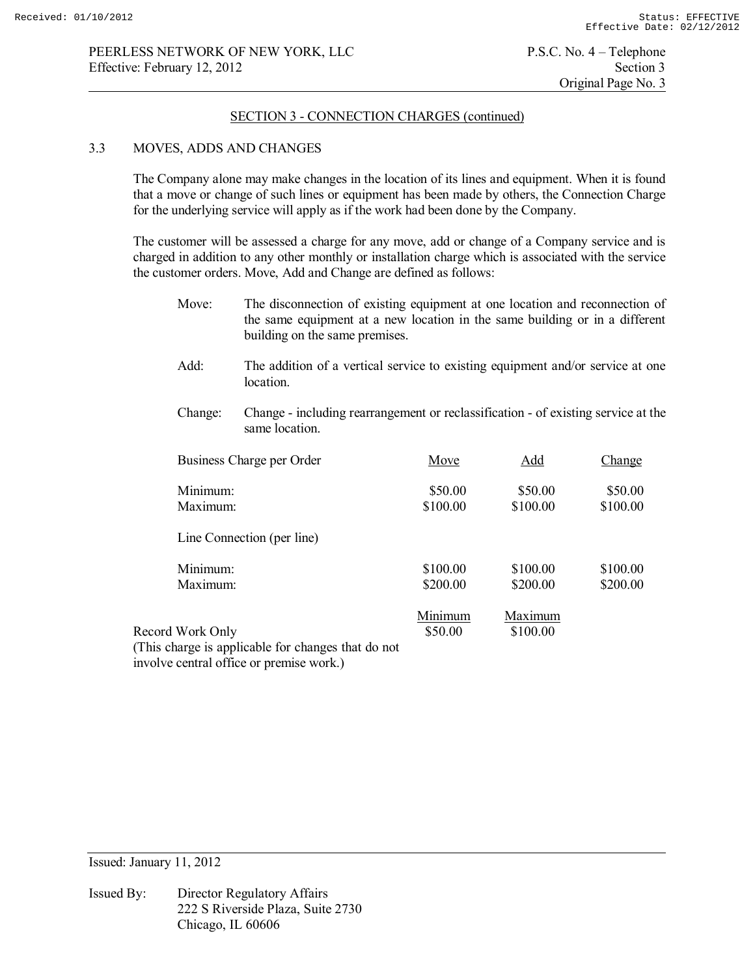### SECTION 3 - CONNECTION CHARGES (continued)

#### 3.3 MOVES, ADDS AND CHANGES

 The Company alone may make changes in the location of its lines and equipment. When it is found that a move or change of such lines or equipment has been made by others, the Connection Charge for the underlying service will apply as if the work had been done by the Company.

 The customer will be assessed a charge for any move, add or change of a Company service and is charged in addition to any other monthly or installation charge which is associated with the service the customer orders. Move, Add and Change are defined as follows:

- Move: The disconnection of existing equipment at one location and reconnection of the same equipment at a new location in the same building or in a different building on the same premises.
- Add: The addition of a vertical service to existing equipment and/or service at one location.
- Change: Change including rearrangement or reclassification of existing service at the same location.

| Business Charge per Order                          | Move     | Add      | Change   |
|----------------------------------------------------|----------|----------|----------|
| Minimum:                                           | \$50.00  | \$50.00  | \$50.00  |
| Maximum:                                           | \$100.00 | \$100.00 | \$100.00 |
| Line Connection (per line)                         |          |          |          |
| Minimum:                                           | \$100.00 | \$100.00 | \$100.00 |
| Maximum:                                           | \$200.00 | \$200.00 | \$200.00 |
|                                                    | Minimum  | Maximum  |          |
| Record Work Only                                   | \$50.00  | \$100.00 |          |
| (This charge is applicable for changes that do not |          |          |          |

involve central office or premise work.)

Issued: January 11, 2012